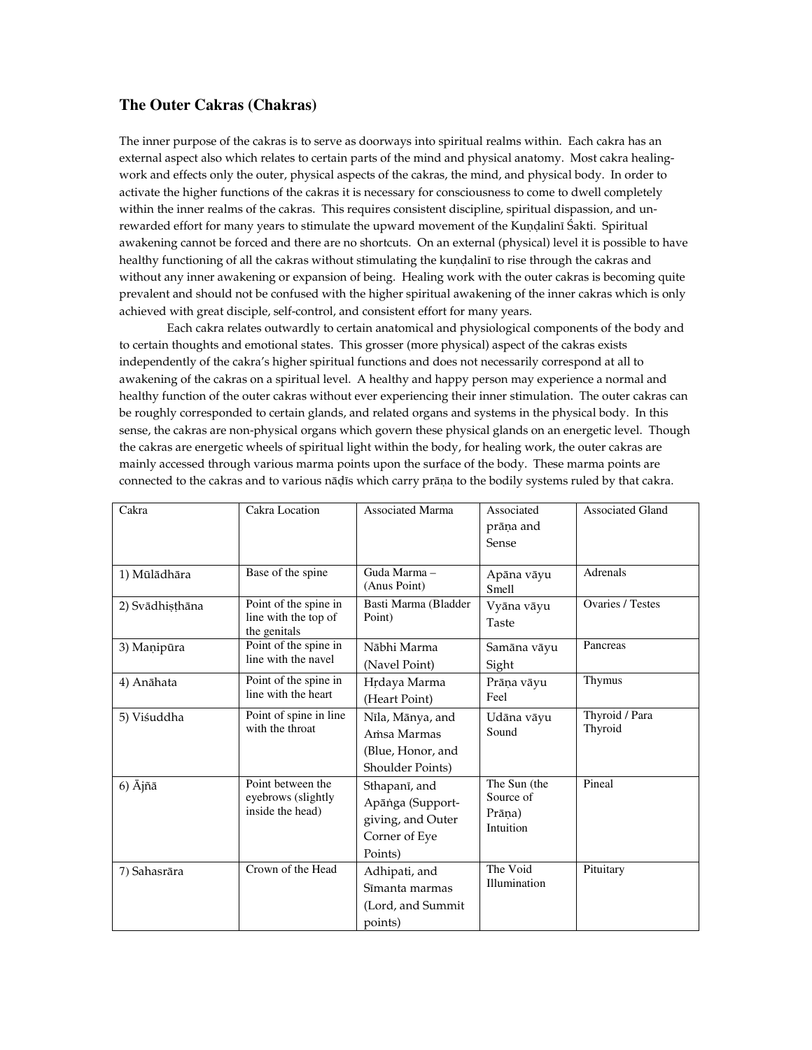## **The Outer Cakras (Chakras)**

The inner purpose of the cakras is to serve as doorways into spiritual realms within. Each cakra has an external aspect also which relates to certain parts of the mind and physical anatomy. Most cakra healingwork and effects only the outer, physical aspects of the cakras, the mind, and physical body. In order to activate the higher functions of the cakras it is necessary for consciousness to come to dwell completely within the inner realms of the cakras. This requires consistent discipline, spiritual dispassion, and unrewarded effort for many years to stimulate the upward movement of the Kundalinī Śakti. Spiritual awakening cannot be forced and there are no shortcuts. On an external (physical) level it is possible to have healthy functioning of all the cakras without stimulating the kundalini to rise through the cakras and without any inner awakening or expansion of being. Healing work with the outer cakras is becoming quite prevalent and should not be confused with the higher spiritual awakening of the inner cakras which is only achieved with great disciple, self-control, and consistent effort for many years.

Each cakra relates outwardly to certain anatomical and physiological components of the body and to certain thoughts and emotional states. This grosser (more physical) aspect of the cakras exists independently of the cakra's higher spiritual functions and does not necessarily correspond at all to awakening of the cakras on a spiritual level. A healthy and happy person may experience a normal and healthy function of the outer cakras without ever experiencing their inner stimulation. The outer cakras can be roughly corresponded to certain glands, and related organs and systems in the physical body. In this sense, the cakras are non-physical organs which govern these physical glands on an energetic level. Though the cakras are energetic wheels of spiritual light within the body, for healing work, the outer cakras are mainly accessed through various marma points upon the surface of the body. These marma points are connected to the cakras and to various nāḍīs which carry prāṇa to the bodily systems ruled by that cakra.

| Cakra              | Cakra Location                                                | <b>Associated Marma</b>                                                            | Associated<br>prāņa and<br><b>Sense</b>          | <b>Associated Gland</b>   |
|--------------------|---------------------------------------------------------------|------------------------------------------------------------------------------------|--------------------------------------------------|---------------------------|
| 1) Mūlādhāra       | Base of the spine                                             | Guda Marma-<br>(Anus Point)                                                        | Apāna vāyu<br>Smell                              | Adrenals                  |
| 2) Svādhișțhāna    | Point of the spine in<br>line with the top of<br>the genitals | Basti Marma (Bladder<br>Point)                                                     | Vyāna vāyu<br>Taste                              | <b>Ovaries / Testes</b>   |
| 3) Manipūra        | Point of the spine in<br>line with the navel                  | Nābhi Marma<br>(Navel Point)                                                       | Samāna vāyu<br>Sight                             | Pancreas                  |
| 4) Anāhata         | Point of the spine in<br>line with the heart                  | Hrdaya Marma<br>(Heart Point)                                                      | Prāņa vāyu<br>Feel                               | Thymus                    |
| 5) Viśuddha        | Point of spine in line<br>with the throat                     | Nīla, Mānya, and<br>Amsa Marmas<br>(Blue, Honor, and<br>Shoulder Points)           | Udāna vāyu<br>Sound                              | Thyroid / Para<br>Thyroid |
| $6)$ $\bar{A}$ jñā | Point between the<br>eyebrows (slightly<br>inside the head)   | Sthapanī, and<br>Apāṅga (Support-<br>giving, and Outer<br>Corner of Eye<br>Points) | The Sun (the<br>Source of<br>Prāna)<br>Intuition | Pineal                    |
| 7) Sahasrāra       | Crown of the Head                                             | Adhipati, and<br>Sīmanta marmas<br>(Lord, and Summit)<br>points)                   | The Void<br>Illumination                         | Pituitary                 |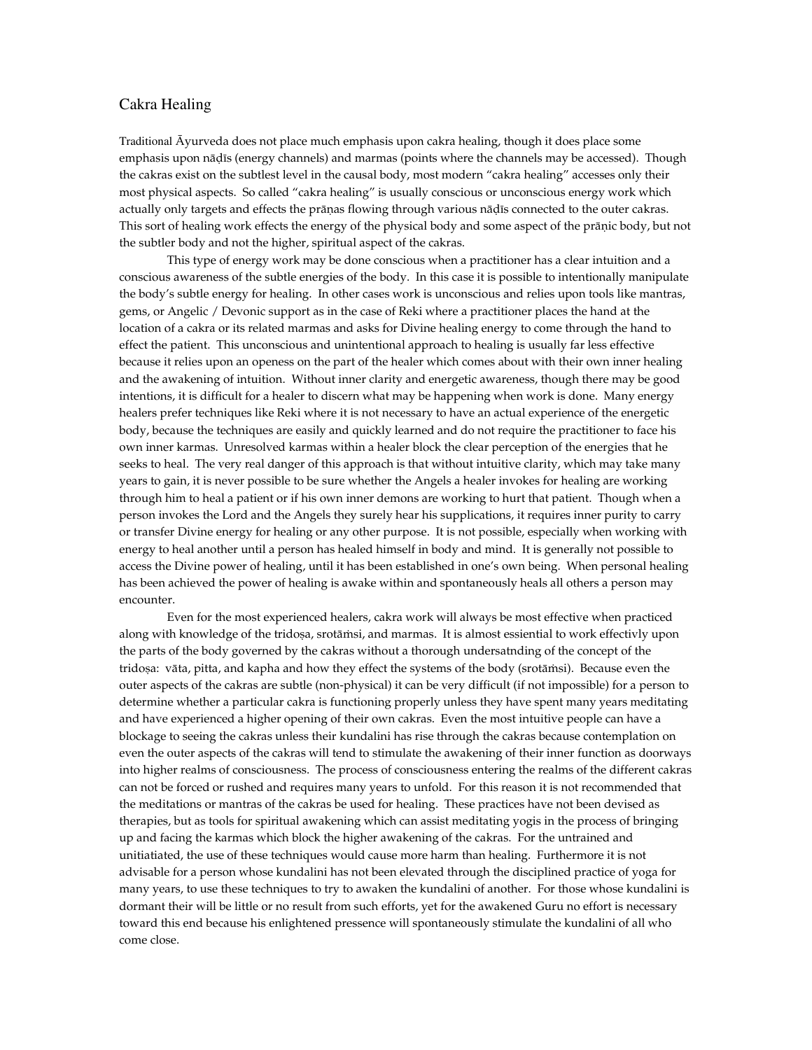## Cakra Healing

Traditional Äyurveda does not place much emphasis upon cakra healing, though it does place some emphasis upon nādīs (energy channels) and marmas (points where the channels may be accessed). Though the cakras exist on the subtlest level in the causal body, most modern "cakra healing" accesses only their most physical aspects. So called "cakra healing" is usually conscious or unconscious energy work which actually only targets and effects the prāṇas flowing through various nāḍīs connected to the outer cakras. This sort of healing work effects the energy of the physical body and some aspect of the prāṇic body, but not the subtler body and not the higher, spiritual aspect of the cakras.

This type of energy work may be done conscious when a practitioner has a clear intuition and a conscious awareness of the subtle energies of the body. In this case it is possible to intentionally manipulate the body's subtle energy for healing. In other cases work is unconscious and relies upon tools like mantras, gems, or Angelic / Devonic support as in the case of Reki where a practitioner places the hand at the location of a cakra or its related marmas and asks for Divine healing energy to come through the hand to effect the patient. This unconscious and unintentional approach to healing is usually far less effective because it relies upon an openess on the part of the healer which comes about with their own inner healing and the awakening of intuition. Without inner clarity and energetic awareness, though there may be good intentions, it is difficult for a healer to discern what may be happening when work is done. Many energy healers prefer techniques like Reki where it is not necessary to have an actual experience of the energetic body, because the techniques are easily and quickly learned and do not require the practitioner to face his own inner karmas. Unresolved karmas within a healer block the clear perception of the energies that he seeks to heal. The very real danger of this approach is that without intuitive clarity, which may take many years to gain, it is never possible to be sure whether the Angels a healer invokes for healing are working through him to heal a patient or if his own inner demons are working to hurt that patient. Though when a person invokes the Lord and the Angels they surely hear his supplications, it requires inner purity to carry or transfer Divine energy for healing or any other purpose. It is not possible, especially when working with energy to heal another until a person has healed himself in body and mind. It is generally not possible to access the Divine power of healing, until it has been established in one's own being. When personal healing has been achieved the power of healing is awake within and spontaneously heals all others a person may encounter.

Even for the most experienced healers, cakra work will always be most effective when practiced along with knowledge of the tridosa, srotāmsi, and marmas. It is almost essiential to work effectivly upon the parts of the body governed by the cakras without a thorough undersatnding of the concept of the tridosa: vāta, pitta, and kapha and how they effect the systems of the body (srotāmsi). Because even the outer aspects of the cakras are subtle (non-physical) it can be very difficult (if not impossible) for a person to determine whether a particular cakra is functioning properly unless they have spent many years meditating and have experienced a higher opening of their own cakras. Even the most intuitive people can have a blockage to seeing the cakras unless their kundalini has rise through the cakras because contemplation on even the outer aspects of the cakras will tend to stimulate the awakening of their inner function as doorways into higher realms of consciousness. The process of consciousness entering the realms of the different cakras can not be forced or rushed and requires many years to unfold. For this reason it is not recommended that the meditations or mantras of the cakras be used for healing. These practices have not been devised as therapies, but as tools for spiritual awakening which can assist meditating yogis in the process of bringing up and facing the karmas which block the higher awakening of the cakras. For the untrained and unitiatiated, the use of these techniques would cause more harm than healing. Furthermore it is not advisable for a person whose kundalini has not been elevated through the disciplined practice of yoga for many years, to use these techniques to try to awaken the kundalini of another. For those whose kundalini is dormant their will be little or no result from such efforts, yet for the awakened Guru no effort is necessary toward this end because his enlightened pressence will spontaneously stimulate the kundalini of all who come close.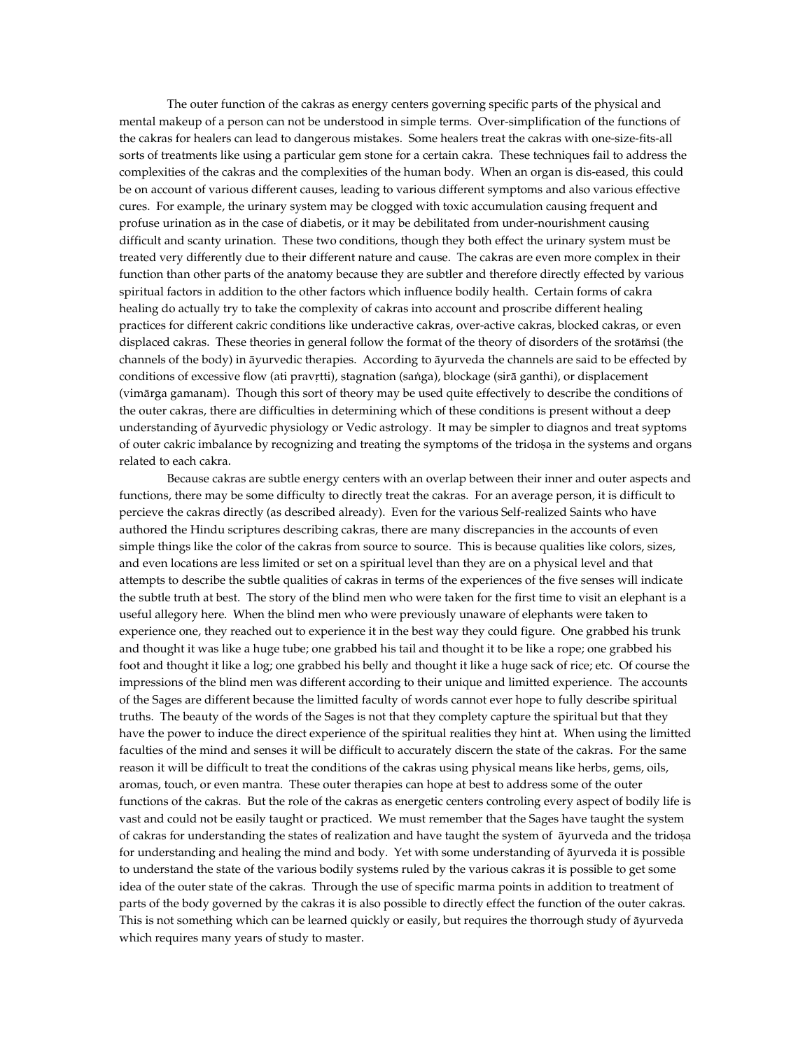The outer function of the cakras as energy centers governing specific parts of the physical and mental makeup of a person can not be understood in simple terms. Over-simplification of the functions of the cakras for healers can lead to dangerous mistakes. Some healers treat the cakras with one-size-fits-all sorts of treatments like using a particular gem stone for a certain cakra. These techniques fail to address the complexities of the cakras and the complexities of the human body. When an organ is dis-eased, this could be on account of various different causes, leading to various different symptoms and also various effective cures. For example, the urinary system may be clogged with toxic accumulation causing frequent and profuse urination as in the case of diabetis, or it may be debilitated from under-nourishment causing difficult and scanty urination. These two conditions, though they both effect the urinary system must be treated very differently due to their different nature and cause. The cakras are even more complex in their function than other parts of the anatomy because they are subtler and therefore directly effected by various spiritual factors in addition to the other factors which influence bodily health. Certain forms of cakra healing do actually try to take the complexity of cakras into account and proscribe different healing practices for different cakric conditions like underactive cakras, over-active cakras, blocked cakras, or even displaced cakras. These theories in general follow the format of the theory of disorders of the srotāmsi (the channels of the body) in äyurvedic therapies. According to äyurveda the channels are said to be effected by conditions of excessive flow (ati pravrtti), stagnation (saṅga), blockage (sirā ganthi), or displacement (vimärga gamanam). Though this sort of theory may be used quite effectively to describe the conditions of the outer cakras, there are difficulties in determining which of these conditions is present without a deep understanding of äyurvedic physiology or Vedic astrology. It may be simpler to diagnos and treat syptoms of outer cakric imbalance by recognizing and treating the symptoms of the tridosa in the systems and organs related to each cakra.

Because cakras are subtle energy centers with an overlap between their inner and outer aspects and functions, there may be some difficulty to directly treat the cakras. For an average person, it is difficult to percieve the cakras directly (as described already). Even for the various Self-realized Saints who have authored the Hindu scriptures describing cakras, there are many discrepancies in the accounts of even simple things like the color of the cakras from source to source. This is because qualities like colors, sizes, and even locations are less limited or set on a spiritual level than they are on a physical level and that attempts to describe the subtle qualities of cakras in terms of the experiences of the five senses will indicate the subtle truth at best. The story of the blind men who were taken for the first time to visit an elephant is a useful allegory here. When the blind men who were previously unaware of elephants were taken to experience one, they reached out to experience it in the best way they could figure. One grabbed his trunk and thought it was like a huge tube; one grabbed his tail and thought it to be like a rope; one grabbed his foot and thought it like a log; one grabbed his belly and thought it like a huge sack of rice; etc. Of course the impressions of the blind men was different according to their unique and limitted experience. The accounts of the Sages are different because the limitted faculty of words cannot ever hope to fully describe spiritual truths. The beauty of the words of the Sages is not that they complety capture the spiritual but that they have the power to induce the direct experience of the spiritual realities they hint at. When using the limitted faculties of the mind and senses it will be difficult to accurately discern the state of the cakras. For the same reason it will be difficult to treat the conditions of the cakras using physical means like herbs, gems, oils, aromas, touch, or even mantra. These outer therapies can hope at best to address some of the outer functions of the cakras. But the role of the cakras as energetic centers controling every aspect of bodily life is vast and could not be easily taught or practiced. We must remember that the Sages have taught the system of cakras for understanding the states of realization and have taught the system of āyurveda and the tridosa for understanding and healing the mind and body. Yet with some understanding of äyurveda it is possible to understand the state of the various bodily systems ruled by the various cakras it is possible to get some idea of the outer state of the cakras. Through the use of specific marma points in addition to treatment of parts of the body governed by the cakras it is also possible to directly effect the function of the outer cakras. This is not something which can be learned quickly or easily, but requires the thorrough study of äyurveda which requires many years of study to master.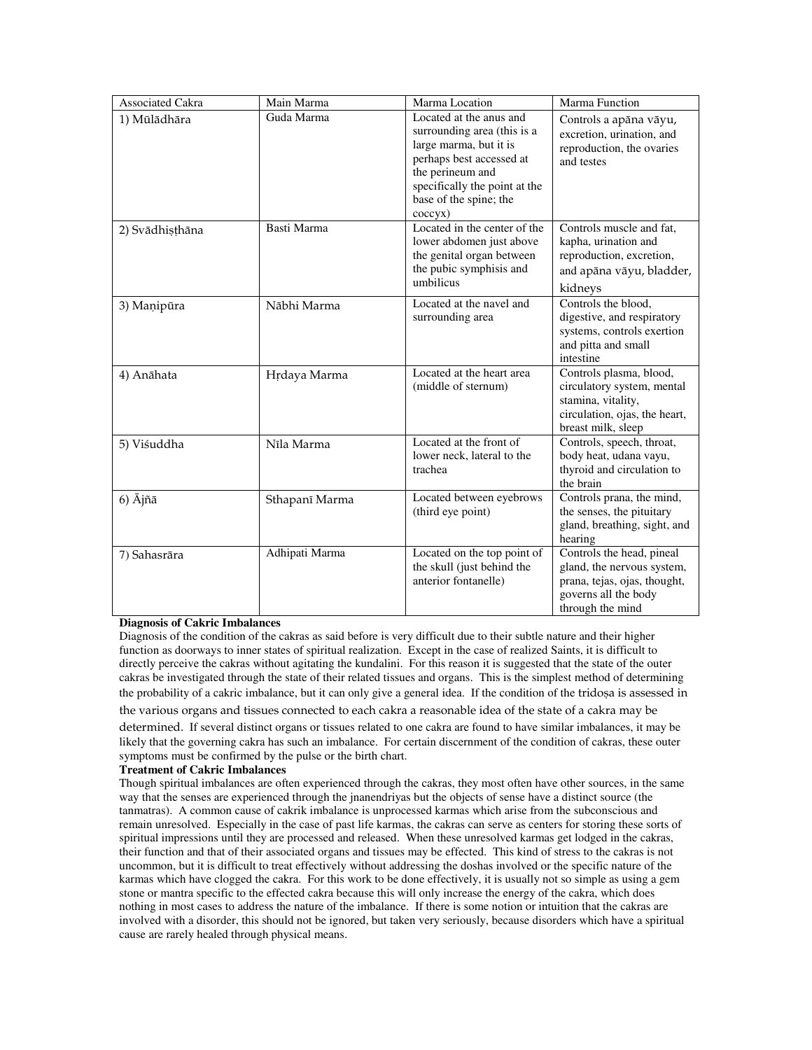| <b>Associated Cakra</b> | Main Marma     | Marma Location                                                                                                                                                                                         | Marma Function                                                                                                                      |
|-------------------------|----------------|--------------------------------------------------------------------------------------------------------------------------------------------------------------------------------------------------------|-------------------------------------------------------------------------------------------------------------------------------------|
| 1) Mūlādhāra            | Guda Marma     | Located at the anus and<br>surrounding area (this is a<br>large marma, but it is<br>perhaps best accessed at<br>the perineum and<br>specifically the point at the<br>base of the spine; the<br>coccyx) | Controls a apāna vāyu,<br>excretion, urination, and<br>reproduction, the ovaries<br>and testes                                      |
| 2) Svādhisthāna         | Basti Marma    | Located in the center of the<br>lower abdomen just above<br>the genital organ between<br>the pubic symphisis and<br>umbilicus                                                                          | Controls muscle and fat,<br>kapha, urination and<br>reproduction, excretion,<br>and apāna vāyu, bladder,<br>kidneys                 |
| 3) Manipūra             | Nābhi Marma    | Located at the navel and<br>surrounding area                                                                                                                                                           | Controls the blood.<br>digestive, and respiratory<br>systems, controls exertion<br>and pitta and small<br>intestine                 |
| 4) Anāhata              | Hrdaya Marma   | Located at the heart area<br>(middle of sternum)                                                                                                                                                       | Controls plasma, blood,<br>circulatory system, mental<br>stamina, vitality,<br>circulation, ojas, the heart,<br>breast milk, sleep  |
| 5) Viśuddha             | Nīla Marma     | Located at the front of<br>lower neck, lateral to the<br>trachea                                                                                                                                       | Controls, speech, throat,<br>body heat, udana vayu,<br>thyroid and circulation to<br>the brain                                      |
| 6) $\bar{A}$ jñā        | Sthapanī Marma | Located between eyebrows<br>(third eye point)                                                                                                                                                          | Controls prana, the mind,<br>the senses, the pituitary<br>gland, breathing, sight, and<br>hearing                                   |
| 7) Sahasrāra            | Adhipati Marma | Located on the top point of<br>the skull (just behind the<br>anterior fontanelle)                                                                                                                      | Controls the head, pineal<br>gland, the nervous system,<br>prana, tejas, ojas, thought,<br>governs all the body<br>through the mind |

## **Diagnosis of Cakric Imbalances**

Diagnosis of the condition of the cakras as said before is very difficult due to their subtle nature and their higher function as doorways to inner states of spiritual realization. Except in the case of realized Saints, it is difficult to directly perceive the cakras without agitating the kundalini. For this reason it is suggested that the state of the outer cakras be investigated through the state of their related tissues and organs. This is the simplest method of determining the probability of a cakric imbalance, but it can only give a general idea. If the condition of the tridosa is assessed in the various organs and tissues connected to each cakra a reasonable idea of the state of a cakra may be

determined. If several distinct organs or tissues related to one cakra are found to have similar imbalances, it may be likely that the governing cakra has such an imbalance. For certain discernment of the condition of cakras, these outer symptoms must be confirmed by the pulse or the birth chart.

## **Treatment of Cakric Imbalances**

Though spiritual imbalances are often experienced through the cakras, they most often have other sources, in the same way that the senses are experienced through the jnanendriyas but the objects of sense have a distinct source (the tanmatras). A common cause of cakrik imbalance is unprocessed karmas which arise from the subconscious and remain unresolved. Especially in the case of past life karmas, the cakras can serve as centers for storing these sorts of spiritual impressions until they are processed and released. When these unresolved karmas get lodged in the cakras, their function and that of their associated organs and tissues may be effected. This kind of stress to the cakras is not uncommon, but it is difficult to treat effectively without addressing the doshas involved or the specific nature of the karmas which have clogged the cakra. For this work to be done effectively, it is usually not so simple as using a gem stone or mantra specific to the effected cakra because this will only increase the energy of the cakra, which does nothing in most cases to address the nature of the imbalance. If there is some notion or intuition that the cakras are involved with a disorder, this should not be ignored, but taken very seriously, because disorders which have a spiritual cause are rarely healed through physical means.